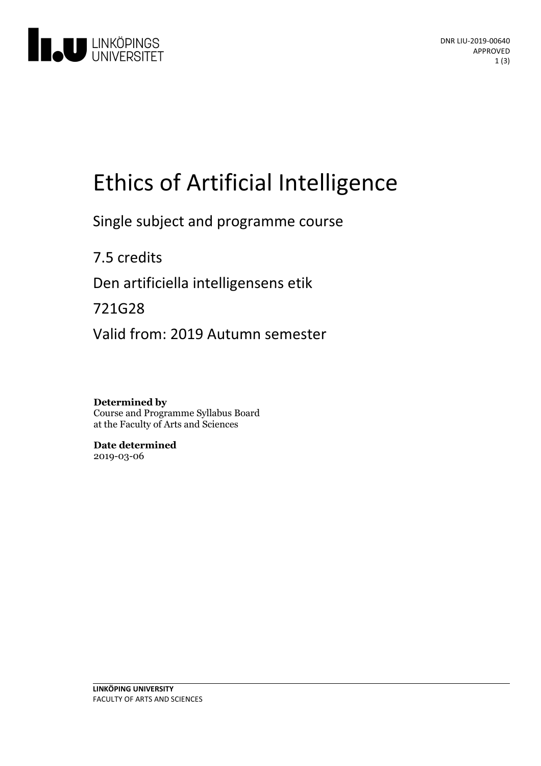

# Ethics of Artificial Intelligence

Single subject and programme course

7.5 credits

Den artificiella intelligensens etik

721G28

Valid from: 2019 Autumn semester

**Determined by** Course and Programme Syllabus Board at the Faculty of Arts and Sciences

**Date determined** 2019-03-06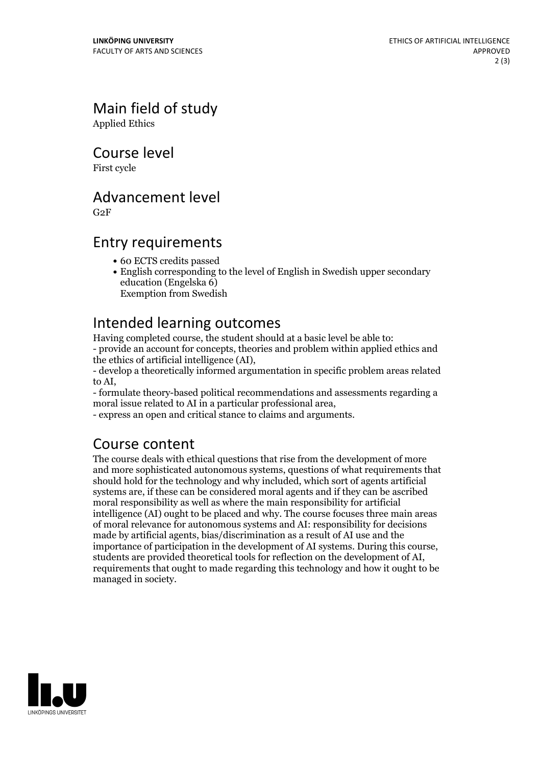Main field of study Applied Ethics

Course level

First cycle

Advancement level

G2F

## Entry requirements

- 60 ECTS credits passed
- English corresponding to the level of English in Swedish upper secondary education (Engelska 6)

Exemption from Swedish

Intended learning outcomes<br>Having completed course, the student should at a basic level be able to: - provide an account for concepts, theories and problem within applied ethics and

the ethics of artificial intelligence (AI), - develop <sup>a</sup> theoretically informed argumentation in specific problem areas related

to AI, - formulate theory-based political recommendations and assessments regarding <sup>a</sup>

- express an open and critical stance to claims and arguments.

# Course content

The course deals with ethical questions that rise from the development of more and more sophisticated autonomous systems, questions of what requirements that should hold for the technology and why included, which sort of agents artificial systems are, if these can be considered moral agents and if they can be ascribed moral responsibility as well as where the main responsibility for artificial intelligence (AI) ought to be placed and why. The course focuses three main areas of moral relevance for autonomous systems and AI: responsibility for decisions made by artificial agents, bias/discrimination as a result of AI use and the importance of participation in the development of AI systems. During this course, students are provided theoretical tools for reflection on the development of AI, requirements that ought to made regarding this technology a managed in society.